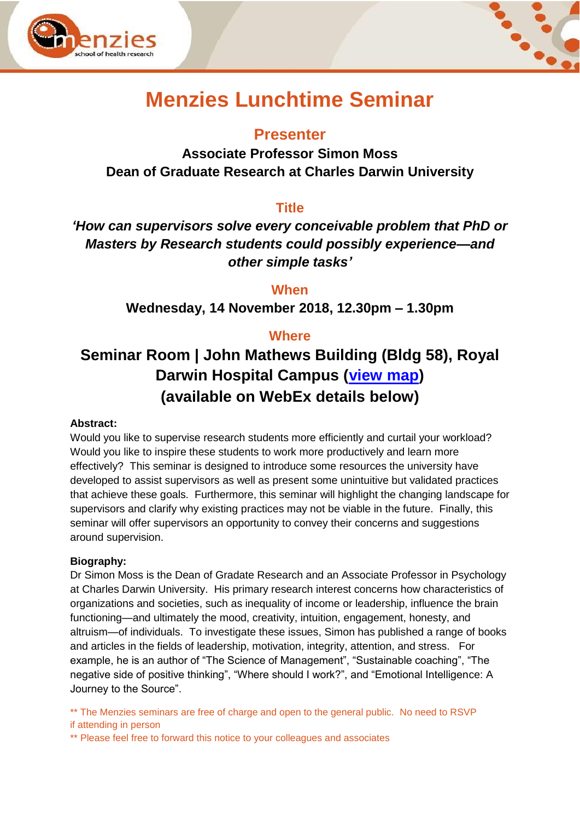



# **Menzies Lunchtime Seminar**

## **Presenter**

**Associate Professor Simon Moss Dean of Graduate Research at Charles Darwin University** 

## **Title**

*'How can supervisors solve every conceivable problem that PhD or Masters by Research students could possibly experience—and other simple tasks'*

**When**

**Wednesday, 14 November 2018, 12.30pm – 1.30pm**

### **Where**

## **Seminar Room | John Mathews Building (Bldg 58), Royal Darwin Hospital Campus [\(view map\)](https://www.menzies.edu.au/icms_docs/190217_Royal_Darwin_Hospital_campus_map.pdf) (available on WebEx details below)**

#### **Abstract:**

Would you like to supervise research students more efficiently and curtail your workload? Would you like to inspire these students to work more productively and learn more effectively? This seminar is designed to introduce some resources the university have developed to assist supervisors as well as present some unintuitive but validated practices that achieve these goals. Furthermore, this seminar will highlight the changing landscape for supervisors and clarify why existing practices may not be viable in the future. Finally, this seminar will offer supervisors an opportunity to convey their concerns and suggestions around supervision.

#### **Biography:**

Dr Simon Moss is the Dean of Gradate Research and an Associate Professor in Psychology at Charles Darwin University. His primary research interest concerns how characteristics of organizations and societies, such as inequality of income or leadership, influence the brain functioning—and ultimately the mood, creativity, intuition, engagement, honesty, and altruism—of individuals. To investigate these issues, Simon has published a range of books and articles in the fields of leadership, motivation, integrity, attention, and stress. For example, he is an author of "The Science of Management", "Sustainable coaching", "The negative side of positive thinking", "Where should I work?", and "Emotional Intelligence: A Journey to the Source".

\*\* The Menzies seminars are free of charge and open to the general public. No need to RSVP if attending in person

\*\* Please feel free to forward this notice to your colleagues and associates